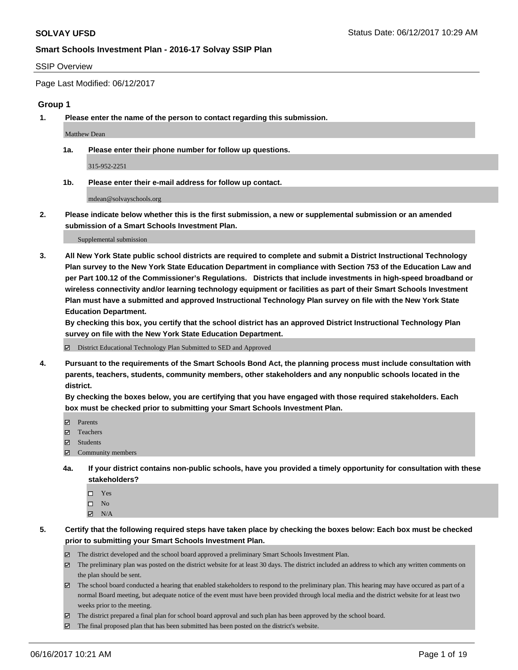### SSIP Overview

Page Last Modified: 06/12/2017

## **Group 1**

**1. Please enter the name of the person to contact regarding this submission.**

Matthew Dean

**1a. Please enter their phone number for follow up questions.**

315-952-2251

**1b. Please enter their e-mail address for follow up contact.**

mdean@solvayschools.org

**2. Please indicate below whether this is the first submission, a new or supplemental submission or an amended submission of a Smart Schools Investment Plan.**

Supplemental submission

**3. All New York State public school districts are required to complete and submit a District Instructional Technology Plan survey to the New York State Education Department in compliance with Section 753 of the Education Law and per Part 100.12 of the Commissioner's Regulations. Districts that include investments in high-speed broadband or wireless connectivity and/or learning technology equipment or facilities as part of their Smart Schools Investment Plan must have a submitted and approved Instructional Technology Plan survey on file with the New York State Education Department.** 

**By checking this box, you certify that the school district has an approved District Instructional Technology Plan survey on file with the New York State Education Department.**

District Educational Technology Plan Submitted to SED and Approved

**4. Pursuant to the requirements of the Smart Schools Bond Act, the planning process must include consultation with parents, teachers, students, community members, other stakeholders and any nonpublic schools located in the district.** 

**By checking the boxes below, you are certifying that you have engaged with those required stakeholders. Each box must be checked prior to submitting your Smart Schools Investment Plan.**

- **マ** Parents
- □ Teachers
- Students
- $\Xi$  Community members
- **4a. If your district contains non-public schools, have you provided a timely opportunity for consultation with these stakeholders?**
	- Yes
	- $\hfill \square$  No
	- $\boxtimes$  N/A
- **5. Certify that the following required steps have taken place by checking the boxes below: Each box must be checked prior to submitting your Smart Schools Investment Plan.**
	- The district developed and the school board approved a preliminary Smart Schools Investment Plan.
	- $\boxtimes$  The preliminary plan was posted on the district website for at least 30 days. The district included an address to which any written comments on the plan should be sent.
	- $\boxtimes$  The school board conducted a hearing that enabled stakeholders to respond to the preliminary plan. This hearing may have occured as part of a normal Board meeting, but adequate notice of the event must have been provided through local media and the district website for at least two weeks prior to the meeting.
	- The district prepared a final plan for school board approval and such plan has been approved by the school board.
	- $\boxtimes$  The final proposed plan that has been submitted has been posted on the district's website.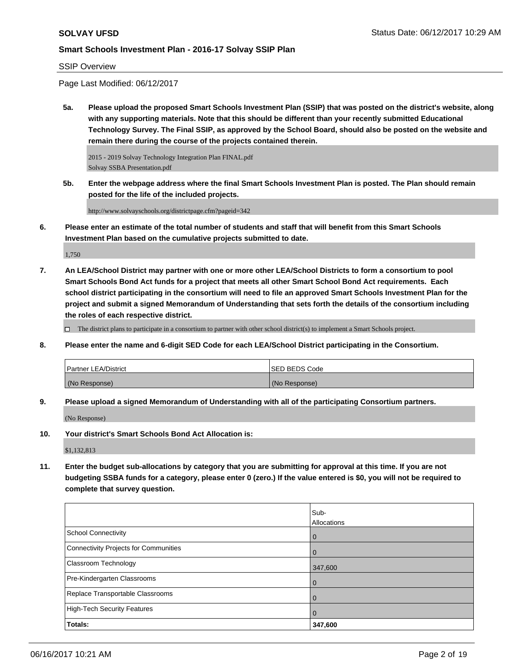### SSIP Overview

Page Last Modified: 06/12/2017

**5a. Please upload the proposed Smart Schools Investment Plan (SSIP) that was posted on the district's website, along with any supporting materials. Note that this should be different than your recently submitted Educational Technology Survey. The Final SSIP, as approved by the School Board, should also be posted on the website and remain there during the course of the projects contained therein.**

2015 - 2019 Solvay Technology Integration Plan FINAL.pdf Solvay SSBA Presentation.pdf

**5b. Enter the webpage address where the final Smart Schools Investment Plan is posted. The Plan should remain posted for the life of the included projects.**

http://www.solvayschools.org/districtpage.cfm?pageid=342

**6. Please enter an estimate of the total number of students and staff that will benefit from this Smart Schools Investment Plan based on the cumulative projects submitted to date.**

1,750

**7. An LEA/School District may partner with one or more other LEA/School Districts to form a consortium to pool Smart Schools Bond Act funds for a project that meets all other Smart School Bond Act requirements. Each school district participating in the consortium will need to file an approved Smart Schools Investment Plan for the project and submit a signed Memorandum of Understanding that sets forth the details of the consortium including the roles of each respective district.**

 $\Box$  The district plans to participate in a consortium to partner with other school district(s) to implement a Smart Schools project.

**8. Please enter the name and 6-digit SED Code for each LEA/School District participating in the Consortium.**

| <b>Partner LEA/District</b> | <b>ISED BEDS Code</b> |
|-----------------------------|-----------------------|
| (No Response)               | (No Response)         |

**9. Please upload a signed Memorandum of Understanding with all of the participating Consortium partners.**

(No Response)

**10. Your district's Smart Schools Bond Act Allocation is:**

\$1,132,813

**11. Enter the budget sub-allocations by category that you are submitting for approval at this time. If you are not budgeting SSBA funds for a category, please enter 0 (zero.) If the value entered is \$0, you will not be required to complete that survey question.**

|                                       | Sub-           |
|---------------------------------------|----------------|
|                                       | Allocations    |
| <b>School Connectivity</b>            | l 0            |
| Connectivity Projects for Communities | $\overline{0}$ |
| <b>Classroom Technology</b>           | 347,600        |
| Pre-Kindergarten Classrooms           | l O            |
| Replace Transportable Classrooms      | $\Omega$       |
| High-Tech Security Features           | <b>0</b>       |
| Totals:                               | 347,600        |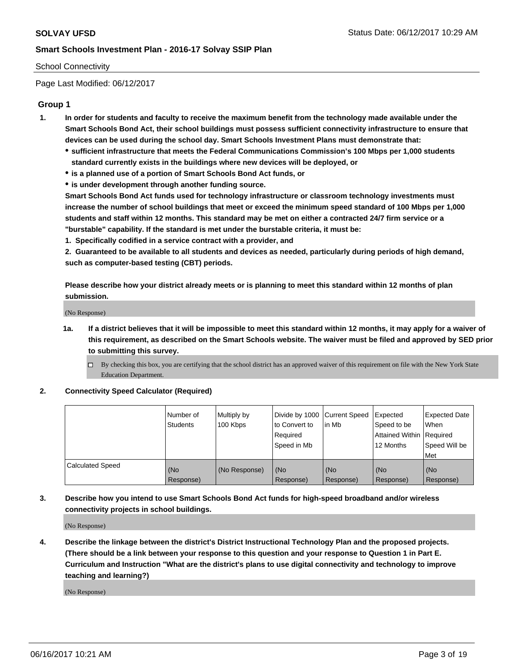### School Connectivity

Page Last Modified: 06/12/2017

## **Group 1**

- **1. In order for students and faculty to receive the maximum benefit from the technology made available under the Smart Schools Bond Act, their school buildings must possess sufficient connectivity infrastructure to ensure that devices can be used during the school day. Smart Schools Investment Plans must demonstrate that:**
	- **sufficient infrastructure that meets the Federal Communications Commission's 100 Mbps per 1,000 students standard currently exists in the buildings where new devices will be deployed, or**
	- **is a planned use of a portion of Smart Schools Bond Act funds, or**
	- **is under development through another funding source.**

**Smart Schools Bond Act funds used for technology infrastructure or classroom technology investments must increase the number of school buildings that meet or exceed the minimum speed standard of 100 Mbps per 1,000 students and staff within 12 months. This standard may be met on either a contracted 24/7 firm service or a "burstable" capability. If the standard is met under the burstable criteria, it must be:**

**1. Specifically codified in a service contract with a provider, and**

**2. Guaranteed to be available to all students and devices as needed, particularly during periods of high demand, such as computer-based testing (CBT) periods.**

**Please describe how your district already meets or is planning to meet this standard within 12 months of plan submission.**

(No Response)

- **1a. If a district believes that it will be impossible to meet this standard within 12 months, it may apply for a waiver of this requirement, as described on the Smart Schools website. The waiver must be filed and approved by SED prior to submitting this survey.**
	- By checking this box, you are certifying that the school district has an approved waiver of this requirement on file with the New York State Education Department.

#### **2. Connectivity Speed Calculator (Required)**

|                         | l Number of<br><b>Students</b> | Multiply by<br>100 Kbps | Divide by 1000   Current Speed<br>to Convert to<br>Required<br>l Speed in Mb | in Mb            | Expected<br>Speed to be<br>Attained Within Required<br>12 Months | <b>Expected Date</b><br>When<br>Speed Will be<br><b>Met</b> |
|-------------------------|--------------------------------|-------------------------|------------------------------------------------------------------------------|------------------|------------------------------------------------------------------|-------------------------------------------------------------|
| <b>Calculated Speed</b> | (No<br>Response)               | (No Response)           | (No<br>Response)                                                             | (No<br>Response) | (No<br>Response)                                                 | l (No<br>Response)                                          |

# **3. Describe how you intend to use Smart Schools Bond Act funds for high-speed broadband and/or wireless connectivity projects in school buildings.**

(No Response)

**4. Describe the linkage between the district's District Instructional Technology Plan and the proposed projects. (There should be a link between your response to this question and your response to Question 1 in Part E. Curriculum and Instruction "What are the district's plans to use digital connectivity and technology to improve teaching and learning?)**

(No Response)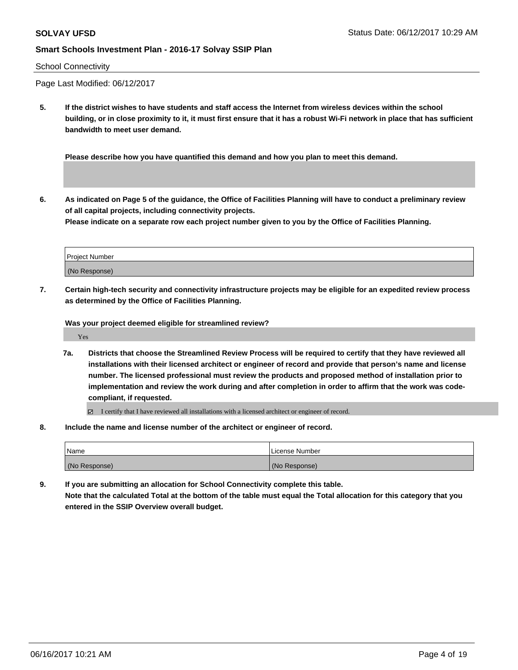### School Connectivity

Page Last Modified: 06/12/2017

**5. If the district wishes to have students and staff access the Internet from wireless devices within the school building, or in close proximity to it, it must first ensure that it has a robust Wi-Fi network in place that has sufficient bandwidth to meet user demand.**

**Please describe how you have quantified this demand and how you plan to meet this demand.**

**6. As indicated on Page 5 of the guidance, the Office of Facilities Planning will have to conduct a preliminary review of all capital projects, including connectivity projects. Please indicate on a separate row each project number given to you by the Office of Facilities Planning.**

| <b>Project Number</b> |  |
|-----------------------|--|
| (No Response)         |  |

**7. Certain high-tech security and connectivity infrastructure projects may be eligible for an expedited review process as determined by the Office of Facilities Planning.**

**Was your project deemed eligible for streamlined review?**

Yes

**7a. Districts that choose the Streamlined Review Process will be required to certify that they have reviewed all installations with their licensed architect or engineer of record and provide that person's name and license number. The licensed professional must review the products and proposed method of installation prior to implementation and review the work during and after completion in order to affirm that the work was codecompliant, if requested.**

 $\Box$  I certify that I have reviewed all installations with a licensed architect or engineer of record.

**8. Include the name and license number of the architect or engineer of record.**

| <sup>1</sup> Name | License Number |
|-------------------|----------------|
| (No Response)     | (No Response)  |

**9. If you are submitting an allocation for School Connectivity complete this table. Note that the calculated Total at the bottom of the table must equal the Total allocation for this category that you entered in the SSIP Overview overall budget.**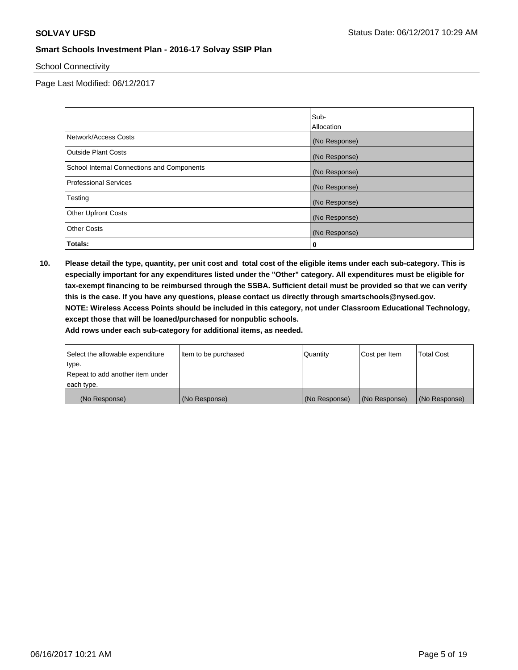School Connectivity

Page Last Modified: 06/12/2017

|                                            | Sub-          |
|--------------------------------------------|---------------|
|                                            | Allocation    |
| Network/Access Costs                       | (No Response) |
| <b>Outside Plant Costs</b>                 | (No Response) |
| School Internal Connections and Components | (No Response) |
| <b>Professional Services</b>               | (No Response) |
| Testing                                    | (No Response) |
| <b>Other Upfront Costs</b>                 | (No Response) |
| <b>Other Costs</b>                         | (No Response) |
| Totals:                                    | 0             |

**10. Please detail the type, quantity, per unit cost and total cost of the eligible items under each sub-category. This is especially important for any expenditures listed under the "Other" category. All expenditures must be eligible for tax-exempt financing to be reimbursed through the SSBA. Sufficient detail must be provided so that we can verify this is the case. If you have any questions, please contact us directly through smartschools@nysed.gov. NOTE: Wireless Access Points should be included in this category, not under Classroom Educational Technology, except those that will be loaned/purchased for nonpublic schools.**

| Select the allowable expenditure | Item to be purchased | Quantity      | Cost per Item | <b>Total Cost</b> |
|----------------------------------|----------------------|---------------|---------------|-------------------|
| type.                            |                      |               |               |                   |
| Repeat to add another item under |                      |               |               |                   |
| each type.                       |                      |               |               |                   |
| (No Response)                    | (No Response)        | (No Response) | (No Response) | (No Response)     |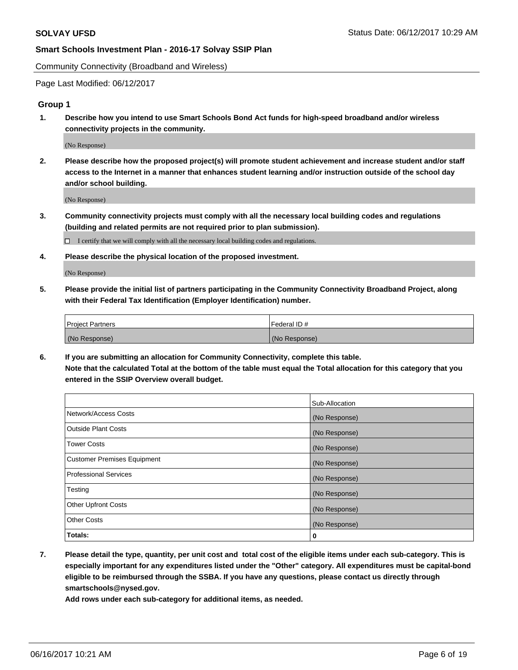Community Connectivity (Broadband and Wireless)

Page Last Modified: 06/12/2017

## **Group 1**

**1. Describe how you intend to use Smart Schools Bond Act funds for high-speed broadband and/or wireless connectivity projects in the community.**

(No Response)

**2. Please describe how the proposed project(s) will promote student achievement and increase student and/or staff access to the Internet in a manner that enhances student learning and/or instruction outside of the school day and/or school building.**

(No Response)

**3. Community connectivity projects must comply with all the necessary local building codes and regulations (building and related permits are not required prior to plan submission).**

 $\Box$  I certify that we will comply with all the necessary local building codes and regulations.

**4. Please describe the physical location of the proposed investment.**

(No Response)

**5. Please provide the initial list of partners participating in the Community Connectivity Broadband Project, along with their Federal Tax Identification (Employer Identification) number.**

| <b>Project Partners</b> | Federal ID#     |
|-------------------------|-----------------|
| (No Response)           | l (No Response) |

**6. If you are submitting an allocation for Community Connectivity, complete this table. Note that the calculated Total at the bottom of the table must equal the Total allocation for this category that you entered in the SSIP Overview overall budget.**

|                                    | Sub-Allocation |
|------------------------------------|----------------|
| Network/Access Costs               | (No Response)  |
| Outside Plant Costs                | (No Response)  |
| <b>Tower Costs</b>                 | (No Response)  |
| <b>Customer Premises Equipment</b> | (No Response)  |
| <b>Professional Services</b>       | (No Response)  |
| Testing                            | (No Response)  |
| <b>Other Upfront Costs</b>         | (No Response)  |
| <b>Other Costs</b>                 | (No Response)  |
| Totals:                            | 0              |

**7. Please detail the type, quantity, per unit cost and total cost of the eligible items under each sub-category. This is especially important for any expenditures listed under the "Other" category. All expenditures must be capital-bond eligible to be reimbursed through the SSBA. If you have any questions, please contact us directly through smartschools@nysed.gov.**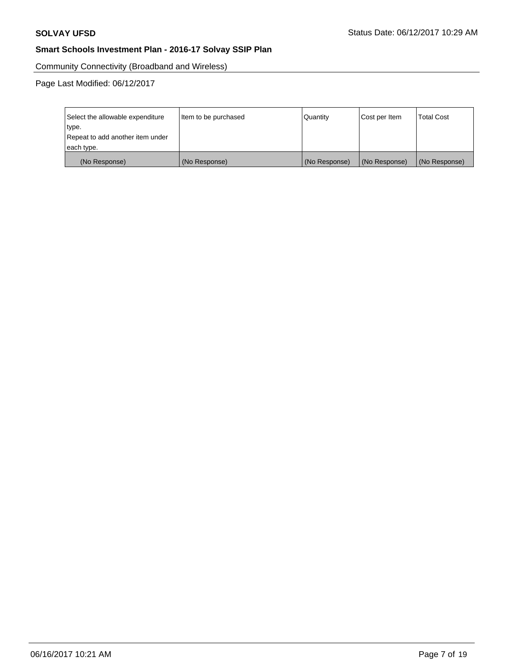Community Connectivity (Broadband and Wireless)

| Select the allowable expenditure<br>type.<br>Repeat to add another item under | Item to be purchased | Quantity      | Cost per Item | <b>Total Cost</b> |
|-------------------------------------------------------------------------------|----------------------|---------------|---------------|-------------------|
| each type.                                                                    |                      |               |               |                   |
| (No Response)                                                                 | (No Response)        | (No Response) | (No Response) | (No Response)     |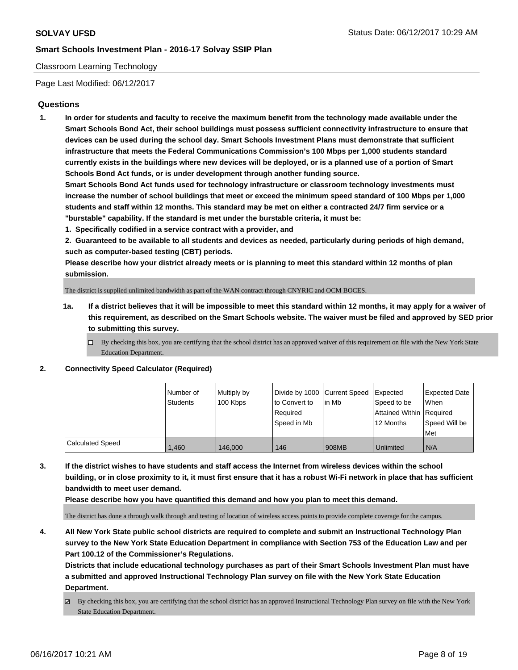## Classroom Learning Technology

Page Last Modified: 06/12/2017

## **Questions**

**1. In order for students and faculty to receive the maximum benefit from the technology made available under the Smart Schools Bond Act, their school buildings must possess sufficient connectivity infrastructure to ensure that devices can be used during the school day. Smart Schools Investment Plans must demonstrate that sufficient infrastructure that meets the Federal Communications Commission's 100 Mbps per 1,000 students standard currently exists in the buildings where new devices will be deployed, or is a planned use of a portion of Smart Schools Bond Act funds, or is under development through another funding source.**

**Smart Schools Bond Act funds used for technology infrastructure or classroom technology investments must increase the number of school buildings that meet or exceed the minimum speed standard of 100 Mbps per 1,000 students and staff within 12 months. This standard may be met on either a contracted 24/7 firm service or a "burstable" capability. If the standard is met under the burstable criteria, it must be:**

- **1. Specifically codified in a service contract with a provider, and**
- **2. Guaranteed to be available to all students and devices as needed, particularly during periods of high demand, such as computer-based testing (CBT) periods.**

**Please describe how your district already meets or is planning to meet this standard within 12 months of plan submission.**

The district is supplied unlimited bandwidth as part of the WAN contract through CNYRIC and OCM BOCES.

- **1a. If a district believes that it will be impossible to meet this standard within 12 months, it may apply for a waiver of this requirement, as described on the Smart Schools website. The waiver must be filed and approved by SED prior to submitting this survey.**
	- $\Box$  By checking this box, you are certifying that the school district has an approved waiver of this requirement on file with the New York State Education Department.

### **2. Connectivity Speed Calculator (Required)**

|                  | Number of<br>Students | Multiply by<br>100 Kbps | Divide by 1000 Current Speed<br>to Convert to<br>Required<br>Speed in Mb | lin Mb | Expected<br>Speed to be<br>Attained Within   Required<br>12 Months | <b>Expected Date</b><br>When<br>Speed Will be<br>Met |
|------------------|-----------------------|-------------------------|--------------------------------------------------------------------------|--------|--------------------------------------------------------------------|------------------------------------------------------|
| Calculated Speed | 1.460                 | 146,000                 | 146                                                                      | 908MB  | Unlimited                                                          | N/A                                                  |

**3. If the district wishes to have students and staff access the Internet from wireless devices within the school building, or in close proximity to it, it must first ensure that it has a robust Wi-Fi network in place that has sufficient bandwidth to meet user demand.**

**Please describe how you have quantified this demand and how you plan to meet this demand.**

The district has done a through walk through and testing of location of wireless access points to provide complete coverage for the campus.

**4. All New York State public school districts are required to complete and submit an Instructional Technology Plan survey to the New York State Education Department in compliance with Section 753 of the Education Law and per Part 100.12 of the Commissioner's Regulations.**

**Districts that include educational technology purchases as part of their Smart Schools Investment Plan must have a submitted and approved Instructional Technology Plan survey on file with the New York State Education Department.**

By checking this box, you are certifying that the school district has an approved Instructional Technology Plan survey on file with the New York State Education Department.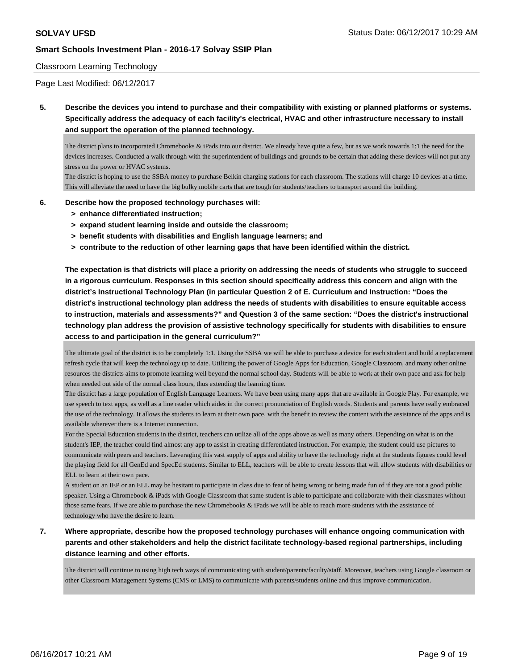### Classroom Learning Technology

Page Last Modified: 06/12/2017

**5. Describe the devices you intend to purchase and their compatibility with existing or planned platforms or systems. Specifically address the adequacy of each facility's electrical, HVAC and other infrastructure necessary to install and support the operation of the planned technology.**

The district plans to incorporated Chromebooks & iPads into our district. We already have quite a few, but as we work towards 1:1 the need for the devices increases. Conducted a walk through with the superintendent of buildings and grounds to be certain that adding these devices will not put any stress on the power or HVAC systems.

The district is hoping to use the SSBA money to purchase Belkin charging stations for each classroom. The stations will charge 10 devices at a time. This will alleviate the need to have the big bulky mobile carts that are tough for students/teachers to transport around the building.

#### **6. Describe how the proposed technology purchases will:**

- **> enhance differentiated instruction;**
- **> expand student learning inside and outside the classroom;**
- **> benefit students with disabilities and English language learners; and**
- **> contribute to the reduction of other learning gaps that have been identified within the district.**

**The expectation is that districts will place a priority on addressing the needs of students who struggle to succeed in a rigorous curriculum. Responses in this section should specifically address this concern and align with the district's Instructional Technology Plan (in particular Question 2 of E. Curriculum and Instruction: "Does the district's instructional technology plan address the needs of students with disabilities to ensure equitable access to instruction, materials and assessments?" and Question 3 of the same section: "Does the district's instructional technology plan address the provision of assistive technology specifically for students with disabilities to ensure access to and participation in the general curriculum?"**

The ultimate goal of the district is to be completely 1:1. Using the SSBA we will be able to purchase a device for each student and build a replacement refresh cycle that will keep the technology up to date. Utilizing the power of Google Apps for Education, Google Classroom, and many other online resources the districts aims to promote learning well beyond the normal school day. Students will be able to work at their own pace and ask for help when needed out side of the normal class hours, thus extending the learning time.

The district has a large population of English Language Learners. We have been using many apps that are available in Google Play. For example, we use speech to text apps, as well as a line reader which aides in the correct pronunciation of English words. Students and parents have really embraced the use of the technology. It allows the students to learn at their own pace, with the benefit to review the content with the assistance of the apps and is available wherever there is a Internet connection.

For the Special Education students in the district, teachers can utilize all of the apps above as well as many others. Depending on what is on the student's IEP, the teacher could find almost any app to assist in creating differentiated instruction. For example, the student could use pictures to communicate with peers and teachers. Leveraging this vast supply of apps and ability to have the technology right at the students figures could level the playing field for all GenEd and SpecEd students. Similar to ELL, teachers will be able to create lessons that will allow students with disabilities or ELL to learn at their own pace.

A student on an IEP or an ELL may be hesitant to participate in class due to fear of being wrong or being made fun of if they are not a good public speaker. Using a Chromebook & iPads with Google Classroom that same student is able to participate and collaborate with their classmates without those same fears. If we are able to purchase the new Chromebooks & iPads we will be able to reach more students with the assistance of technology who have the desire to learn.

# **7. Where appropriate, describe how the proposed technology purchases will enhance ongoing communication with parents and other stakeholders and help the district facilitate technology-based regional partnerships, including distance learning and other efforts.**

The district will continue to using high tech ways of communicating with student/parents/faculty/staff. Moreover, teachers using Google classroom or other Classroom Management Systems (CMS or LMS) to communicate with parents/students online and thus improve communication.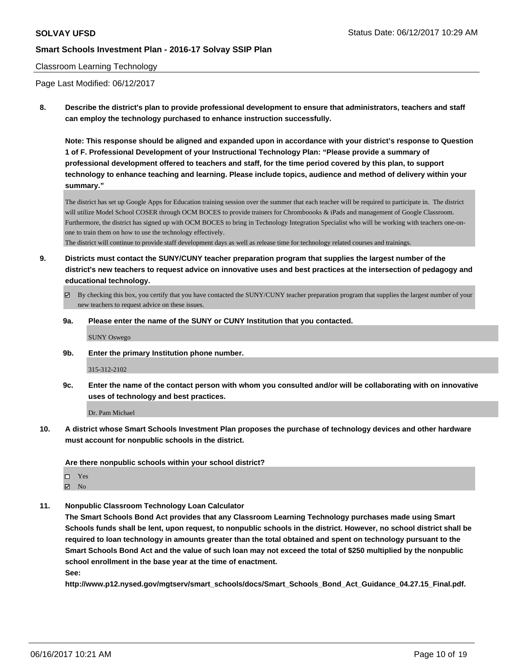### Classroom Learning Technology

Page Last Modified: 06/12/2017

**8. Describe the district's plan to provide professional development to ensure that administrators, teachers and staff can employ the technology purchased to enhance instruction successfully.**

**Note: This response should be aligned and expanded upon in accordance with your district's response to Question 1 of F. Professional Development of your Instructional Technology Plan: "Please provide a summary of professional development offered to teachers and staff, for the time period covered by this plan, to support technology to enhance teaching and learning. Please include topics, audience and method of delivery within your summary."**

The district has set up Google Apps for Education training session over the summer that each teacher will be required to participate in. The district will utilize Model School COSER through OCM BOCES to provide trainers for Chromboooks & iPads and management of Google Classroom. Furthermore, the district has signed up with OCM BOCES to bring in Technology Integration Specialist who will be working with teachers one-onone to train them on how to use the technology effectively.

The district will continue to provide staff development days as well as release time for technology related courses and trainings.

- **9. Districts must contact the SUNY/CUNY teacher preparation program that supplies the largest number of the district's new teachers to request advice on innovative uses and best practices at the intersection of pedagogy and educational technology.**
	- $\boxtimes$  By checking this box, you certify that you have contacted the SUNY/CUNY teacher preparation program that supplies the largest number of your new teachers to request advice on these issues.
	- **9a. Please enter the name of the SUNY or CUNY Institution that you contacted.**

SUNY Oswego

**9b. Enter the primary Institution phone number.**

315-312-2102

**9c. Enter the name of the contact person with whom you consulted and/or will be collaborating with on innovative uses of technology and best practices.**

Dr. Pam Michael

**10. A district whose Smart Schools Investment Plan proposes the purchase of technology devices and other hardware must account for nonpublic schools in the district.**

**Are there nonpublic schools within your school district?**

Yes

 $\boxtimes$  No

**11. Nonpublic Classroom Technology Loan Calculator**

**The Smart Schools Bond Act provides that any Classroom Learning Technology purchases made using Smart Schools funds shall be lent, upon request, to nonpublic schools in the district. However, no school district shall be required to loan technology in amounts greater than the total obtained and spent on technology pursuant to the Smart Schools Bond Act and the value of such loan may not exceed the total of \$250 multiplied by the nonpublic school enrollment in the base year at the time of enactment.**

**See:**

**http://www.p12.nysed.gov/mgtserv/smart\_schools/docs/Smart\_Schools\_Bond\_Act\_Guidance\_04.27.15\_Final.pdf.**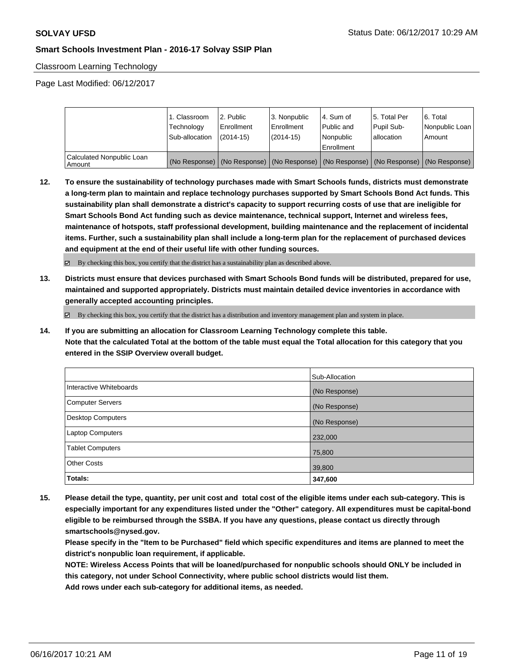Classroom Learning Technology

Page Last Modified: 06/12/2017

|                                       | 1. Classroom<br>Technology<br>Sub-allocation | l 2. Public<br>l Enrollment<br>$(2014-15)$ | l 3. Nonpublic<br>Enrollment<br>$(2014-15)$ | l 4. Sum of<br>Public and<br>l Nonpublic<br>Enrollment | 15. Total Per<br>Pupil Sub-<br>lallocation | 6. Total<br>Nonpublic Loan<br>Amount                                                          |
|---------------------------------------|----------------------------------------------|--------------------------------------------|---------------------------------------------|--------------------------------------------------------|--------------------------------------------|-----------------------------------------------------------------------------------------------|
| Calculated Nonpublic Loan<br>l Amount |                                              |                                            |                                             |                                                        |                                            | (No Response)   (No Response)   (No Response)   (No Response)   (No Response)   (No Response) |

**12. To ensure the sustainability of technology purchases made with Smart Schools funds, districts must demonstrate a long-term plan to maintain and replace technology purchases supported by Smart Schools Bond Act funds. This sustainability plan shall demonstrate a district's capacity to support recurring costs of use that are ineligible for Smart Schools Bond Act funding such as device maintenance, technical support, Internet and wireless fees, maintenance of hotspots, staff professional development, building maintenance and the replacement of incidental items. Further, such a sustainability plan shall include a long-term plan for the replacement of purchased devices and equipment at the end of their useful life with other funding sources.**

By checking this box, you certify that the district has a sustainability plan as described above.

**13. Districts must ensure that devices purchased with Smart Schools Bond funds will be distributed, prepared for use, maintained and supported appropriately. Districts must maintain detailed device inventories in accordance with generally accepted accounting principles.**

 $\boxtimes$  By checking this box, you certify that the district has a distribution and inventory management plan and system in place.

**14. If you are submitting an allocation for Classroom Learning Technology complete this table. Note that the calculated Total at the bottom of the table must equal the Total allocation for this category that you entered in the SSIP Overview overall budget.**

|                         | Sub-Allocation |
|-------------------------|----------------|
| Interactive Whiteboards | (No Response)  |
| Computer Servers        | (No Response)  |
| Desktop Computers       | (No Response)  |
| Laptop Computers        | 232,000        |
| <b>Tablet Computers</b> | 75,800         |
| <b>Other Costs</b>      | 39,800         |
| Totals:                 | 347,600        |

**15. Please detail the type, quantity, per unit cost and total cost of the eligible items under each sub-category. This is especially important for any expenditures listed under the "Other" category. All expenditures must be capital-bond eligible to be reimbursed through the SSBA. If you have any questions, please contact us directly through smartschools@nysed.gov.**

**Please specify in the "Item to be Purchased" field which specific expenditures and items are planned to meet the district's nonpublic loan requirement, if applicable.**

**NOTE: Wireless Access Points that will be loaned/purchased for nonpublic schools should ONLY be included in this category, not under School Connectivity, where public school districts would list them.**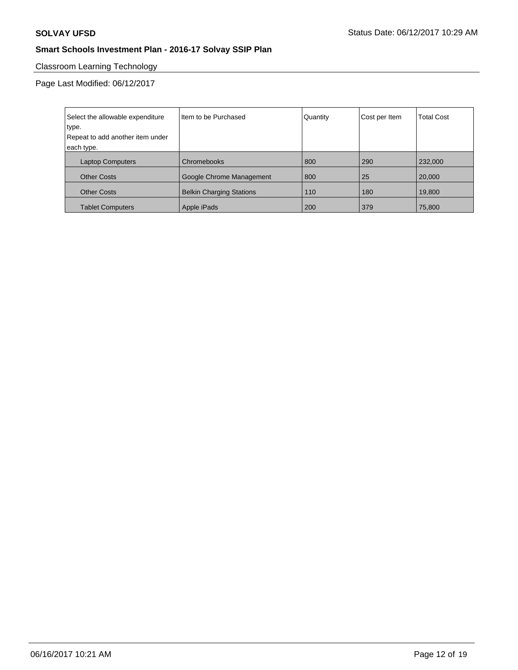# Classroom Learning Technology

| Select the allowable expenditure | I Item to be Purchased          | Quantity | Cost per Item | <b>Total Cost</b> |
|----------------------------------|---------------------------------|----------|---------------|-------------------|
| type.                            |                                 |          |               |                   |
| Repeat to add another item under |                                 |          |               |                   |
| each type.                       |                                 |          |               |                   |
| <b>Laptop Computers</b>          | <b>Chromebooks</b>              | 800      | 290           | 232,000           |
| <b>Other Costs</b>               | Google Chrome Management        | 800      | 25            | 20,000            |
| <b>Other Costs</b>               | <b>Belkin Charging Stations</b> | 110      | 180           | 19,800            |
| <b>Tablet Computers</b>          | Apple iPads                     | 200      | 379           | 75,800            |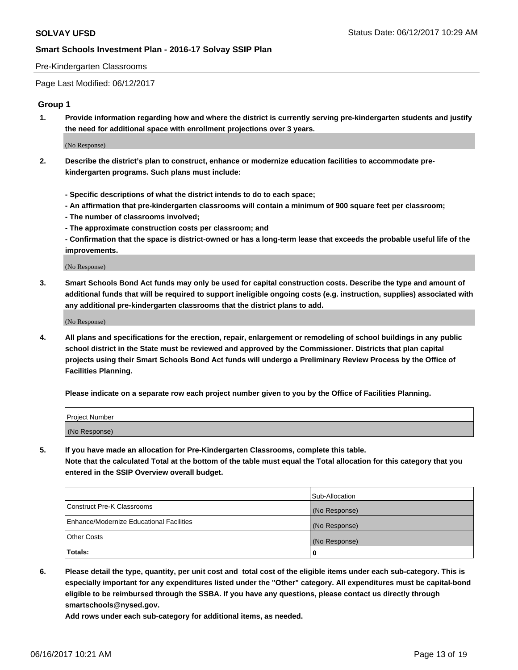### Pre-Kindergarten Classrooms

Page Last Modified: 06/12/2017

## **Group 1**

**1. Provide information regarding how and where the district is currently serving pre-kindergarten students and justify the need for additional space with enrollment projections over 3 years.**

(No Response)

- **2. Describe the district's plan to construct, enhance or modernize education facilities to accommodate prekindergarten programs. Such plans must include:**
	- **Specific descriptions of what the district intends to do to each space;**
	- **An affirmation that pre-kindergarten classrooms will contain a minimum of 900 square feet per classroom;**
	- **The number of classrooms involved;**
	- **The approximate construction costs per classroom; and**
	- **Confirmation that the space is district-owned or has a long-term lease that exceeds the probable useful life of the improvements.**

(No Response)

**3. Smart Schools Bond Act funds may only be used for capital construction costs. Describe the type and amount of additional funds that will be required to support ineligible ongoing costs (e.g. instruction, supplies) associated with any additional pre-kindergarten classrooms that the district plans to add.**

(No Response)

**4. All plans and specifications for the erection, repair, enlargement or remodeling of school buildings in any public school district in the State must be reviewed and approved by the Commissioner. Districts that plan capital projects using their Smart Schools Bond Act funds will undergo a Preliminary Review Process by the Office of Facilities Planning.**

**Please indicate on a separate row each project number given to you by the Office of Facilities Planning.**

| <b>Project Number</b> |  |
|-----------------------|--|
| (No Response)         |  |

**5. If you have made an allocation for Pre-Kindergarten Classrooms, complete this table. Note that the calculated Total at the bottom of the table must equal the Total allocation for this category that you entered in the SSIP Overview overall budget.**

| Totals:                                  | 0              |
|------------------------------------------|----------------|
| Other Costs                              | (No Response)  |
| Enhance/Modernize Educational Facilities | (No Response)  |
| Construct Pre-K Classrooms               | (No Response)  |
|                                          | Sub-Allocation |

**6. Please detail the type, quantity, per unit cost and total cost of the eligible items under each sub-category. This is especially important for any expenditures listed under the "Other" category. All expenditures must be capital-bond eligible to be reimbursed through the SSBA. If you have any questions, please contact us directly through smartschools@nysed.gov.**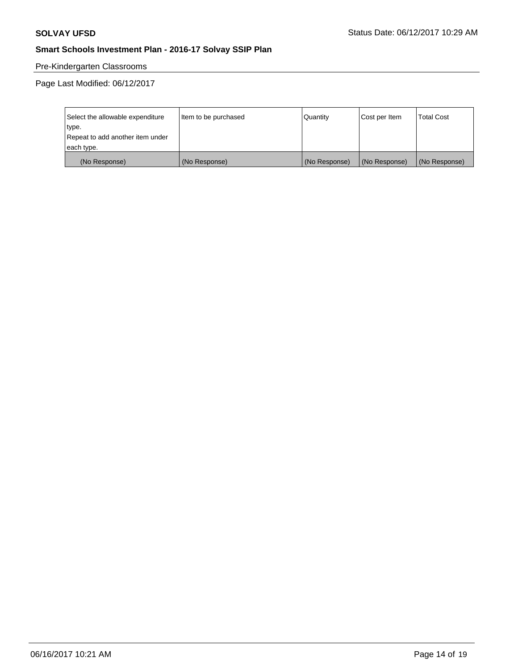# Pre-Kindergarten Classrooms

| Select the allowable expenditure | Item to be purchased | Quantity      | Cost per Item | <b>Total Cost</b> |
|----------------------------------|----------------------|---------------|---------------|-------------------|
| type.                            |                      |               |               |                   |
| Repeat to add another item under |                      |               |               |                   |
| each type.                       |                      |               |               |                   |
| (No Response)                    | (No Response)        | (No Response) | (No Response) | (No Response)     |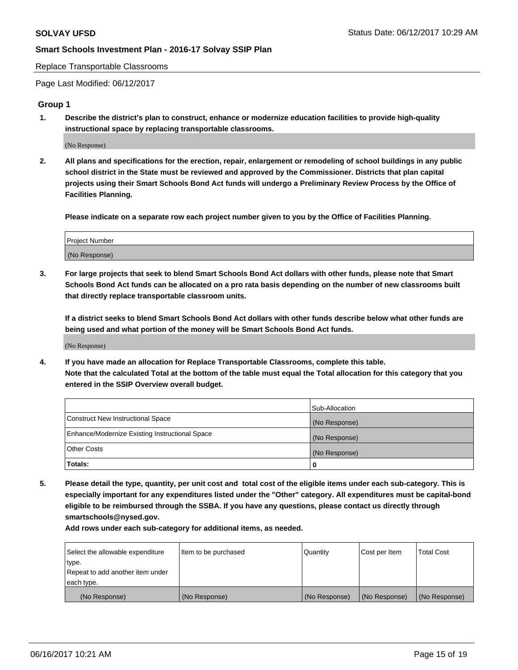Replace Transportable Classrooms

Page Last Modified: 06/12/2017

## **Group 1**

**1. Describe the district's plan to construct, enhance or modernize education facilities to provide high-quality instructional space by replacing transportable classrooms.**

(No Response)

**2. All plans and specifications for the erection, repair, enlargement or remodeling of school buildings in any public school district in the State must be reviewed and approved by the Commissioner. Districts that plan capital projects using their Smart Schools Bond Act funds will undergo a Preliminary Review Process by the Office of Facilities Planning.**

**Please indicate on a separate row each project number given to you by the Office of Facilities Planning.**

| Project Number |  |
|----------------|--|
| (No Response)  |  |

**3. For large projects that seek to blend Smart Schools Bond Act dollars with other funds, please note that Smart Schools Bond Act funds can be allocated on a pro rata basis depending on the number of new classrooms built that directly replace transportable classroom units.**

**If a district seeks to blend Smart Schools Bond Act dollars with other funds describe below what other funds are being used and what portion of the money will be Smart Schools Bond Act funds.**

(No Response)

**4. If you have made an allocation for Replace Transportable Classrooms, complete this table. Note that the calculated Total at the bottom of the table must equal the Total allocation for this category that you entered in the SSIP Overview overall budget.**

|                                                | Sub-Allocation |
|------------------------------------------------|----------------|
| Construct New Instructional Space              | (No Response)  |
| Enhance/Modernize Existing Instructional Space | (No Response)  |
| Other Costs                                    | (No Response)  |
| Totals:                                        | $\Omega$       |

**5. Please detail the type, quantity, per unit cost and total cost of the eligible items under each sub-category. This is especially important for any expenditures listed under the "Other" category. All expenditures must be capital-bond eligible to be reimbursed through the SSBA. If you have any questions, please contact us directly through smartschools@nysed.gov.**

| Select the allowable expenditure | Item to be purchased | Quantity      | Cost per Item | <b>Total Cost</b> |
|----------------------------------|----------------------|---------------|---------------|-------------------|
| type.                            |                      |               |               |                   |
| Repeat to add another item under |                      |               |               |                   |
| each type.                       |                      |               |               |                   |
| (No Response)                    | (No Response)        | (No Response) | (No Response) | (No Response)     |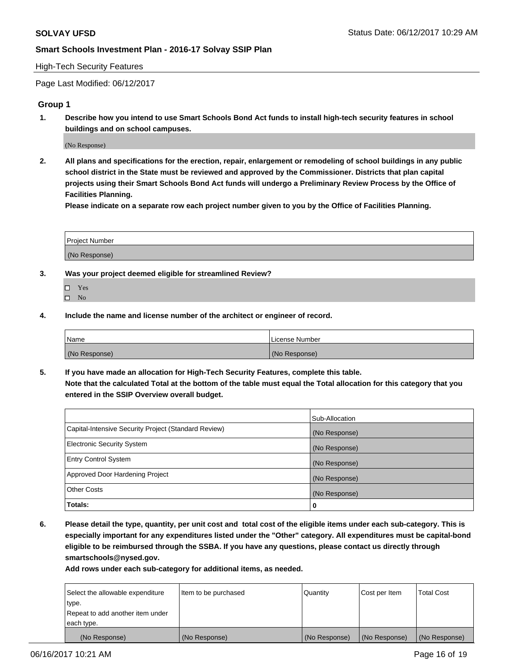### High-Tech Security Features

Page Last Modified: 06/12/2017

## **Group 1**

**1. Describe how you intend to use Smart Schools Bond Act funds to install high-tech security features in school buildings and on school campuses.**

(No Response)

**2. All plans and specifications for the erection, repair, enlargement or remodeling of school buildings in any public school district in the State must be reviewed and approved by the Commissioner. Districts that plan capital projects using their Smart Schools Bond Act funds will undergo a Preliminary Review Process by the Office of Facilities Planning.** 

**Please indicate on a separate row each project number given to you by the Office of Facilities Planning.**

| Project Number |  |
|----------------|--|
|                |  |
| (No Response)  |  |

- **3. Was your project deemed eligible for streamlined Review?**
	- Yes  $\hfill \square$  No
- **4. Include the name and license number of the architect or engineer of record.**

| <b>Name</b>   | License Number |
|---------------|----------------|
| (No Response) | (No Response)  |

**5. If you have made an allocation for High-Tech Security Features, complete this table. Note that the calculated Total at the bottom of the table must equal the Total allocation for this category that you entered in the SSIP Overview overall budget.**

|                                                      | Sub-Allocation |
|------------------------------------------------------|----------------|
| Capital-Intensive Security Project (Standard Review) | (No Response)  |
| Electronic Security System                           | (No Response)  |
| <b>Entry Control System</b>                          | (No Response)  |
| Approved Door Hardening Project                      | (No Response)  |
| <b>Other Costs</b>                                   | (No Response)  |
| Totals:                                              | 0              |

**6. Please detail the type, quantity, per unit cost and total cost of the eligible items under each sub-category. This is especially important for any expenditures listed under the "Other" category. All expenditures must be capital-bond eligible to be reimbursed through the SSBA. If you have any questions, please contact us directly through smartschools@nysed.gov.**

| (No Response)                    | (No Response)        | (No Response) | (No Response) | (No Response)     |
|----------------------------------|----------------------|---------------|---------------|-------------------|
| each type.                       |                      |               |               |                   |
| Repeat to add another item under |                      |               |               |                   |
| type.                            |                      |               |               |                   |
| Select the allowable expenditure | Item to be purchased | Quantity      | Cost per Item | <b>Total Cost</b> |
|                                  |                      |               |               |                   |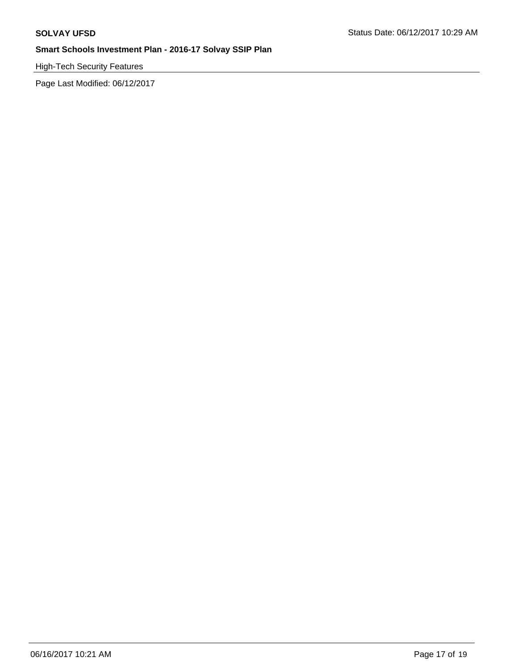High-Tech Security Features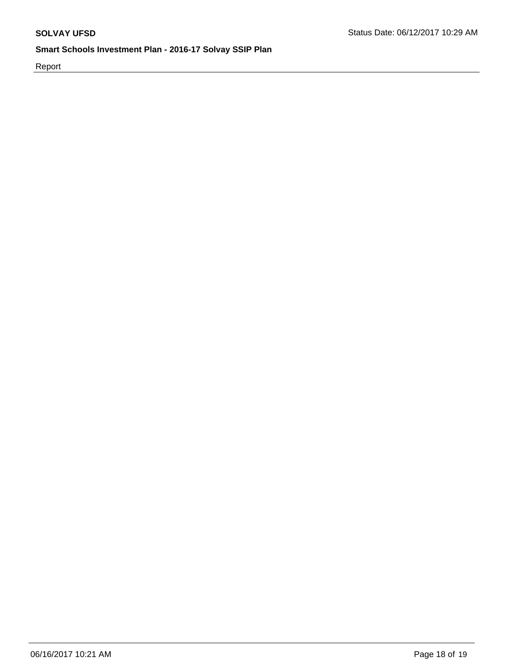Report